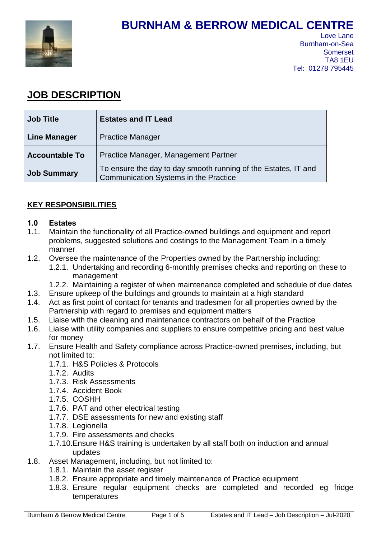

# **BURNHAM & BERROW MEDICAL CENTRE**

## **JOB DESCRIPTION**

| <b>Job Title</b>      | <b>Estates and IT Lead</b>                                                                                     |  |  |  |  |
|-----------------------|----------------------------------------------------------------------------------------------------------------|--|--|--|--|
| <b>Line Manager</b>   | <b>Practice Manager</b>                                                                                        |  |  |  |  |
| <b>Accountable To</b> | Practice Manager, Management Partner                                                                           |  |  |  |  |
| <b>Job Summary</b>    | To ensure the day to day smooth running of the Estates, IT and<br><b>Communication Systems in the Practice</b> |  |  |  |  |

## **KEY RESPONSIBILITIES**

## **1.0 Estates**

- 1.1. Maintain the functionality of all Practice-owned buildings and equipment and report problems, suggested solutions and costings to the Management Team in a timely manner
- 1.2. Oversee the maintenance of the Properties owned by the Partnership including: 1.2.1. Undertaking and recording 6-monthly premises checks and reporting on these to management
	- 1.2.2. Maintaining a register of when maintenance completed and schedule of due dates
- 1.3. Ensure upkeep of the buildings and grounds to maintain at a high standard
- 1.4. Act as first point of contact for tenants and tradesmen for all properties owned by the Partnership with regard to premises and equipment matters
- 1.5. Liaise with the cleaning and maintenance contractors on behalf of the Practice
- 1.6. Liaise with utility companies and suppliers to ensure competitive pricing and best value for money
- 1.7. Ensure Health and Safety compliance across Practice-owned premises, including, but not limited to:
	- 1.7.1. H&S Policies & Protocols
	- 1.7.2. Audits
	- 1.7.3. Risk Assessments
	- 1.7.4. Accident Book
	- 1.7.5. COSHH
	- 1.7.6. PAT and other electrical testing
	- 1.7.7. DSE assessments for new and existing staff
	- 1.7.8. Legionella
	- 1.7.9. Fire assessments and checks
	- 1.7.10.Ensure H&S training is undertaken by all staff both on induction and annual updates
- 1.8. Asset Management, including, but not limited to:
	- 1.8.1. Maintain the asset register
	- 1.8.2. Ensure appropriate and timely maintenance of Practice equipment
	- 1.8.3. Ensure regular equipment checks are completed and recorded eg fridge temperatures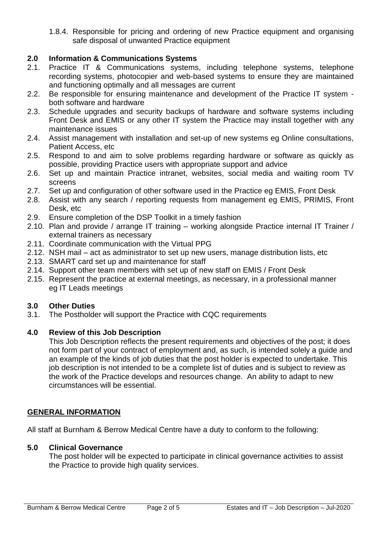1.8.4. Responsible for pricing and ordering of new Practice equipment and organising safe disposal of unwanted Practice equipment

## **2.0 Information & Communications Systems**

- 2.1. Practice IT & Communications systems, including telephone systems, telephone recording systems, photocopier and web-based systems to ensure they are maintained and functioning optimally and all messages are current
- 2.2. Be responsible for ensuring maintenance and development of the Practice IT system both software and hardware
- 2.3. Schedule upgrades and security backups of hardware and software systems including Front Desk and EMIS or any other IT system the Practice may install together with any maintenance issues
- 2.4. Assist management with installation and set-up of new systems eg Online consultations, Patient Access, etc
- 2.5. Respond to and aim to solve problems regarding hardware or software as quickly as possible, providing Practice users with appropriate support and advice
- 2.6. Set up and maintain Practice intranet, websites, social media and waiting room TV screens
- 2.7. Set up and configuration of other software used in the Practice eg EMIS, Front Desk
- 2.8. Assist with any search / reporting requests from management eg EMIS, PRIMIS, Front Desk, etc
- 2.9. Ensure completion of the DSP Toolkit in a timely fashion
- 2.10. Plan and provide / arrange IT training working alongside Practice internal IT Trainer / external trainers as necessary
- 2.11. Coordinate communication with the Virtual PPG
- 2.12. NSH mail act as administrator to set up new users, manage distribution lists, etc
- 2.13. SMART card set up and maintenance for staff
- 2.14. Support other team members with set up of new staff on EMIS / Front Desk
- 2.15. Represent the practice at external meetings, as necessary, in a professional manner eg IT Leads meetings

#### **3.0 Other Duties**

3.1. The Postholder will support the Practice with CQC requirements

#### **4.0 Review of this Job Description**

This Job Description reflects the present requirements and objectives of the post; it does not form part of your contract of employment and, as such, is intended solely a guide and an example of the kinds of job duties that the post holder is expected to undertake. This job description is not intended to be a complete list of duties and is subject to review as the work of the Practice develops and resources change. An ability to adapt to new circumstances will be essential.

#### **GENERAL INFORMATION**

All staff at Burnham & Berrow Medical Centre have a duty to conform to the following:

#### **5.0 Clinical Governance**

The post holder will be expected to participate in clinical governance activities to assist the Practice to provide high quality services.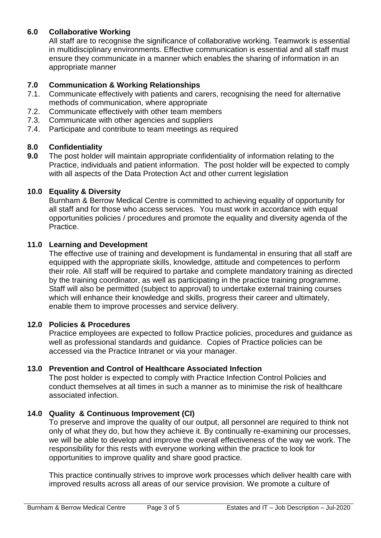## **6.0 Collaborative Working**

All staff are to recognise the significance of collaborative working. Teamwork is essential in multidisciplinary environments. Effective communication is essential and all staff must ensure they communicate in a manner which enables the sharing of information in an appropriate manner

## **7.0 Communication & Working Relationships**

- 7.1. Communicate effectively with patients and carers, recognising the need for alternative methods of communication, where appropriate
- 7.2. Communicate effectively with other team members
- 7.3. Communicate with other agencies and suppliers
- 7.4. Participate and contribute to team meetings as required

## **8.0 Confidentiality**

**9.0** The post holder will maintain appropriate confidentiality of information relating to the Practice, individuals and patient information. The post holder will be expected to comply with all aspects of the Data Protection Act and other current legislation

## **10.0 Equality & Diversity**

Burnham & Berrow Medical Centre is committed to achieving equality of opportunity for all staff and for those who access services. You must work in accordance with equal opportunities policies / procedures and promote the equality and diversity agenda of the Practice.

## **11.0 Learning and Development**

The effective use of training and development is fundamental in ensuring that all staff are equipped with the appropriate skills, knowledge, attitude and competences to perform their role. All staff will be required to partake and complete mandatory training as directed by the training coordinator, as well as participating in the practice training programme. Staff will also be permitted (subject to approval) to undertake external training courses which will enhance their knowledge and skills, progress their career and ultimately, enable them to improve processes and service delivery.

## **12.0 Policies & Procedures**

Practice employees are expected to follow Practice policies, procedures and guidance as well as professional standards and guidance. Copies of Practice policies can be accessed via the Practice Intranet or via your manager.

## **13.0 Prevention and Control of Healthcare Associated Infection**

The post holder is expected to comply with Practice Infection Control Policies and conduct themselves at all times in such a manner as to minimise the risk of healthcare associated infection.

## **14.0 Quality & Continuous Improvement (CI)**

To preserve and improve the quality of our output, all personnel are required to think not only of what they do, but how they achieve it. By continually re-examining our processes, we will be able to develop and improve the overall effectiveness of the way we work. The responsibility for this rests with everyone working within the practice to look for opportunities to improve quality and share good practice.

This practice continually strives to improve work processes which deliver health care with improved results across all areas of our service provision. We promote a culture of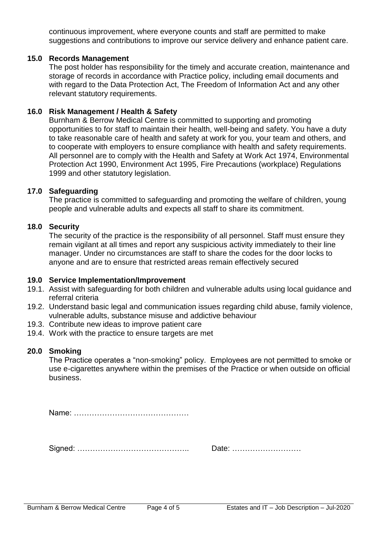continuous improvement, where everyone counts and staff are permitted to make suggestions and contributions to improve our service delivery and enhance patient care.

#### **15.0 Records Management**

The post holder has responsibility for the timely and accurate creation, maintenance and storage of records in accordance with Practice policy, including email documents and with regard to the Data Protection Act, The Freedom of Information Act and any other relevant statutory requirements.

#### **16.0 Risk Management / Health & Safety**

Burnham & Berrow Medical Centre is committed to supporting and promoting opportunities to for staff to maintain their health, well-being and safety. You have a duty to take reasonable care of health and safety at work for you, your team and others, and to cooperate with employers to ensure compliance with health and safety requirements. All personnel are to comply with the Health and Safety at Work Act 1974, Environmental Protection Act 1990, Environment Act 1995, Fire Precautions (workplace) Regulations 1999 and other statutory legislation.

#### **17.0 Safeguarding**

The practice is committed to safeguarding and promoting the welfare of children, young people and vulnerable adults and expects all staff to share its commitment.

#### **18.0 Security**

The security of the practice is the responsibility of all personnel. Staff must ensure they remain vigilant at all times and report any suspicious activity immediately to their line manager. Under no circumstances are staff to share the codes for the door locks to anyone and are to ensure that restricted areas remain effectively secured

#### **19.0 Service Implementation/Improvement**

- 19.1. Assist with safeguarding for both children and vulnerable adults using local guidance and referral criteria
- 19.2. Understand basic legal and communication issues regarding child abuse, family violence, vulnerable adults, substance misuse and addictive behaviour
- 19.3. Contribute new ideas to improve patient care
- 19.4. Work with the practice to ensure targets are met

#### **20.0 Smoking**

The Practice operates a "non-smoking" policy. Employees are not permitted to smoke or use e-cigarettes anywhere within the premises of the Practice or when outside on official business.

Name: ………………………………………

Signed: …………………………………….. Date: ………………………

| Date: |  |  |  |  |  |  |  |  |  |  |  |  |
|-------|--|--|--|--|--|--|--|--|--|--|--|--|
|-------|--|--|--|--|--|--|--|--|--|--|--|--|